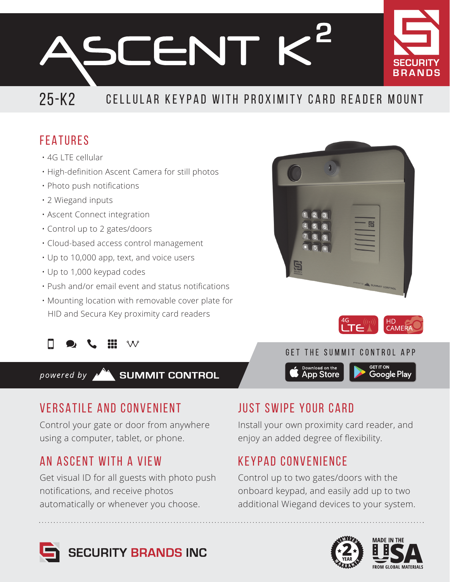**SCENT K** 



## 25-K2 CELLULAR KEYPAD WITH PROXIMITY CARD READER MOUNT

## FEATURES

- 4G LTE cellular
- High-definition Ascent Camera for still photos
- Photo push notifications
- 2 Wiegand inputs
- Ascent Connect integration
- Control up to 2 gates/doors
- Cloud-based access control management
- Up to 10,000 app, text, and voice users
- Up to 1,000 keypad codes
- Push and/or email event and status notifications
- Mounting location with removable cover plate for HID and Secura Key proximity card readers





## VERSATILE AND CONVENIENT

Control your gate or door from anywhere using a computer, tablet, or phone.

## AN ASCENT WITH A VIEW

Get visual ID for all guests with photo push notifications, and receive photos automatically or whenever you choose.

## JUST SWIPE YOUR CARD

Install your own proximity card reader, and enjoy an added degree of flexibility.

Download on the<br>App Store

## KEYPAD CONVENIENCE

Control up to two gates/doors with the onboard keypad, and easily add up to two additional Wiegand devices to your system.









**Google Play** 

GET THE SUMMIT CONTROL APP